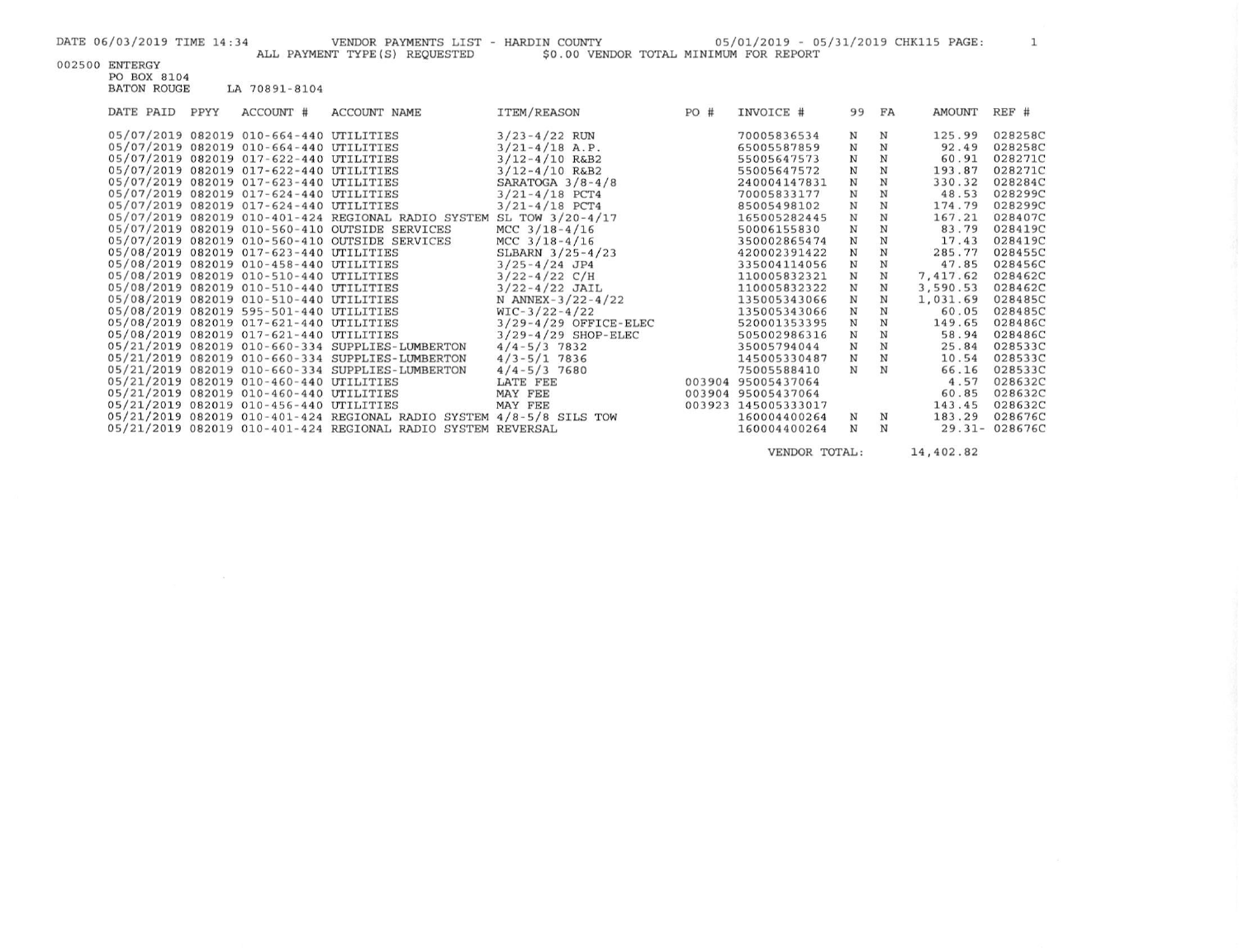| DATE 06/03/2019 TIME 14:34<br>ALL PAYMENT TYPE (S) REQUESTED         | VENDOR PAYMENTS LIST - HARDIN COUNTY<br>\$0.00 VENDOR TOTAL MINIMUM FOR REPORT |     | 05/01/2019 - 05/31/2019 CHK115 PAGE: |             |              |              | $\mathbf{1}$  |
|----------------------------------------------------------------------|--------------------------------------------------------------------------------|-----|--------------------------------------|-------------|--------------|--------------|---------------|
| 002500 ENTERGY                                                       |                                                                                |     |                                      |             |              |              |               |
| PO BOX 8104                                                          |                                                                                |     |                                      |             |              |              |               |
| <b>BATON ROUGE</b><br>LA 70891-8104                                  |                                                                                |     |                                      |             |              |              |               |
| DATE PAID PPYY<br>ACCOUNT #<br><b>ACCOUNT NAME</b>                   | <b>ITEM/REASON</b>                                                             | PO# | INVOICE #                            | 99 FA       |              | AMOUNT REF # |               |
|                                                                      |                                                                                |     |                                      |             |              |              |               |
| 05/07/2019 082019 010-664-440 UTILITIES                              | $3/23 - 4/22$ RUN                                                              |     | 70005836534                          | N           | N            | 125.99       | 028258C       |
| 05/07/2019 082019 010-664-440 UTILITIES                              | $3/21 - 4/18$ A.P.                                                             |     | 65005587859                          | $\mathbf N$ | $\mathbf N$  | 92.49        | 028258C       |
| 05/07/2019 082019 017-622-440 UTILITIES                              | $3/12 - 4/10$ R&B2                                                             |     | 55005647573                          | $\mathbf N$ | $_{\rm N}$   | 60.91        | 028271C       |
| 05/07/2019 082019 017-622-440 UTILITIES                              | $3/12 - 4/10$ R&B2                                                             |     | 55005647572                          | $\mathbf N$ | $\,$ N       | 193.87       | 028271C       |
| 05/07/2019 082019 017-623-440 UTILITIES                              | SARATOGA $3/8 - 4/8$                                                           |     | 240004147831                         | $\mathbf N$ | $_{\rm N}$   | 330.32       | 028284C       |
| 05/07/2019 082019 017-624-440 UTILITIES                              | $3/21 - 4/18$ PCT4                                                             |     | 70005833177                          | $\mathbf N$ | $_{\rm N}$   | 48.53        | 028299C       |
| 05/07/2019 082019 017-624-440 UTILITIES                              | $3/21 - 4/18$ PCT4                                                             |     | 85005498102                          | $\mathbf N$ | $\, {\bf N}$ | 174.79       | 028299C       |
| 05/07/2019 082019 010-401-424 REGIONAL RADIO SYSTEM SL TOW 3/20-4/17 |                                                                                |     | 165005282445                         | $\mathbf N$ | $_{\rm N}$   | 167.21       | 028407C       |
| 05/07/2019 082019 010-560-410 OUTSIDE SERVICES                       | MCC $3/18-4/16$                                                                |     | 50006155830                          | $\mathbf N$ | $_{\rm N}$   | 83.79        | 028419C       |
| 05/07/2019 082019 010-560-410 OUTSIDE SERVICES                       | MCC $3/18-4/16$                                                                |     | 350002865474                         | $\mathbf N$ | $_{\rm N}$   | 17.43        | 028419C       |
| 05/08/2019 082019 017-623-440 UTILITIES                              | SLBARN $3/25 - 4/23$                                                           |     | 420002391422                         | $\mathbf N$ | $\mathbf N$  | 285.77       | 028455C       |
| 05/08/2019 082019 010-458-440 UTILITIES                              | $3/25 - 4/24$ JP4                                                              |     | 335004114056                         | $\mathbf N$ | $\mathbf N$  | 47.85        | 028456C       |
| 05/08/2019 082019 010-510-440 UTILITIES                              | $3/22 - 4/22$ C/H                                                              |     | 110005832321                         | $\mathbf N$ | $\mathbf N$  | 7,417.62     | 028462C       |
| 05/08/2019 082019 010-510-440 UTILITIES                              | $3/22 - 4/22$ JAIL                                                             |     | 110005832322                         | $\mathbf N$ | N            | 3,590.53     | 028462C       |
| 05/08/2019 082019 010-510-440 UTILITIES                              | N ANNEX-3/22-4/22                                                              |     | 135005343066                         | $\mathbf N$ | $\mathbf N$  | 1,031.69     | 028485C       |
| 05/08/2019 082019 595-501-440 UTILITIES                              | $WIC-3/22-4/22$                                                                |     | 135005343066                         | $\mathbf N$ | $\mathbf N$  | 60.05        | 028485C       |
| 05/08/2019 082019 017-621-440 UTILITIES                              | $3/29 - 4/29$ OFFICE-ELEC                                                      |     | 520001353395                         | $\mathbf N$ | ${\bf N}$    | 149.65       | 028486C       |
| 05/08/2019 082019 017-621-440 UTILITIES                              | $3/29 - 4/29$ SHOP-ELEC                                                        |     | 505002986316                         | $\mathbf N$ | $\mathbf N$  | 58.94        | 028486C       |
| 05/21/2019 082019 010-660-334 SUPPLIES-LUMBERTON                     | $4/4 - 5/3$ 7832                                                               |     | 35005794044                          | ${\bf N}$   | $\mathbf N$  | 25.84        | 028533C       |
| 05/21/2019 082019 010-660-334 SUPPLIES-LUMBERTON                     | $4/3 - 5/1$ 7836                                                               |     | 145005330487                         | $\mathbf N$ | $_{\rm N}$   | 10.54        | 028533C       |
| 05/21/2019 082019 010-660-334 SUPPLIES-LUMBERTON                     | $4/4 - 5/3$ 7680                                                               |     | 75005588410                          | N           | N            | 66.16        | 028533C       |
| 05/21/2019 082019 010-460-440 UTILITIES                              | LATE FEE                                                                       |     | 003904 95005437064                   |             |              | 4.57         | 028632C       |
| 05/21/2019 082019 010-460-440 UTILITIES                              | MAY FEE                                                                        |     | 003904 95005437064                   |             |              | 60.85        | 028632C       |
| 05/21/2019 082019 010-456-440 UTILITIES                              | MAY FEE                                                                        |     | 003923 145005333017                  |             |              | 143.45       | 028632C       |
| 05/21/2019 082019 010-401-424 REGIONAL RADIO SYSTEM 4/8-5/8 SILS TOW |                                                                                |     | 160004400264                         | N           | $_{\rm N}$   | 183.29       | 028676C       |
| 05/21/2019  082019  010-401-424  REGIONAL RADIO SYSTEM REVERSAL      |                                                                                |     | 160004400264                         | ${\bf N}$   | $_{\rm N}$   |              | 29.31-028676C |
|                                                                      |                                                                                |     |                                      |             |              |              |               |

VENDOR TOTAL: 14,402.82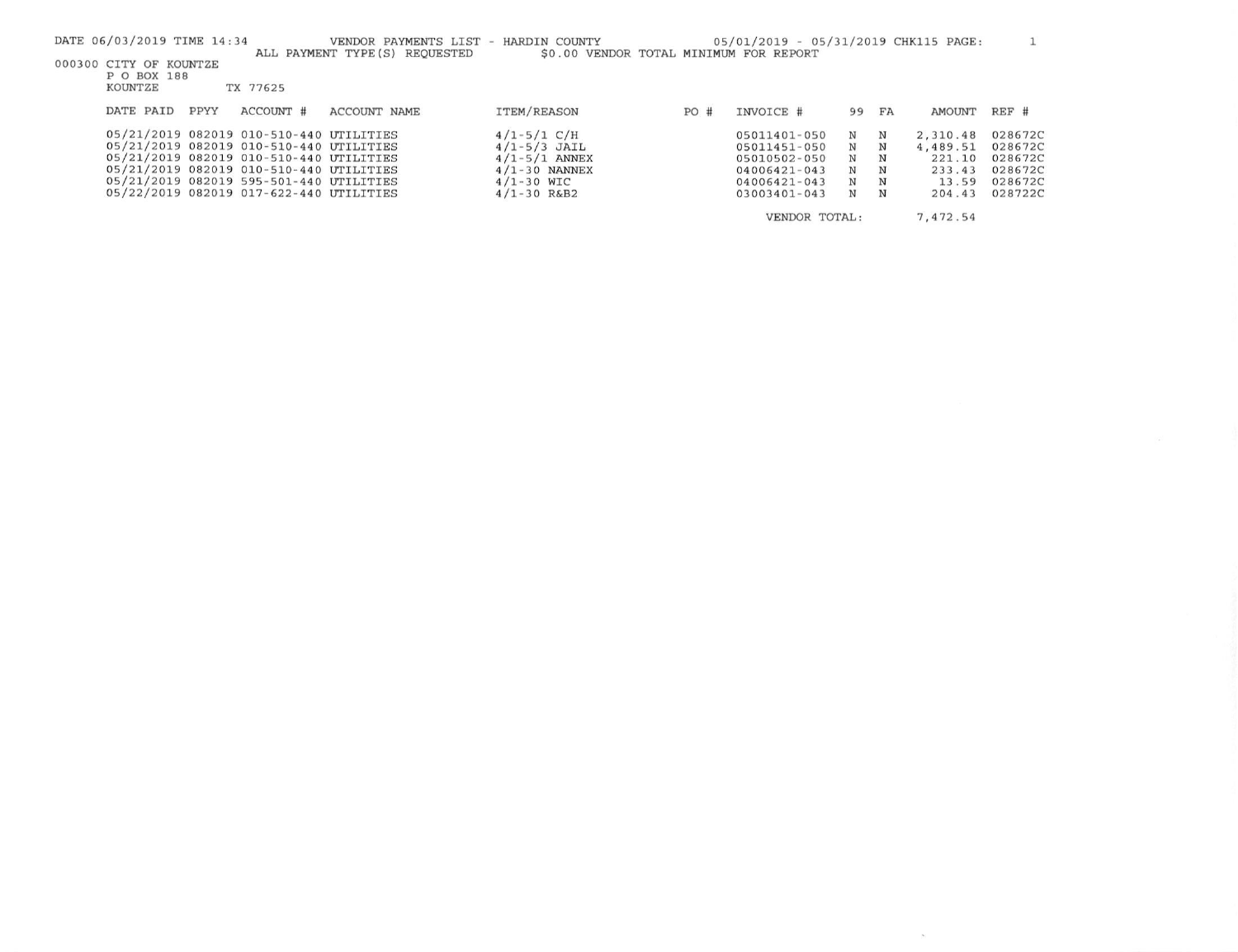| DATE 06/03/2019 TIME 14:34<br>VENDOR PAYMENTS LIST - HARDIN COUNTY<br>ALL PAYMENT TYPE (S) REOUESTED | \$0.00 VENDOR TOTAL MINIMUM FOR REPORT |     | 05/01/2019 - 05/31/2019 CHK115 PAGE: |          |    |          |         |
|------------------------------------------------------------------------------------------------------|----------------------------------------|-----|--------------------------------------|----------|----|----------|---------|
| 000300 CITY OF KOUNTZE                                                                               |                                        |     |                                      |          |    |          |         |
| P O BOX 188<br>KOUNTZE<br>TX 77625                                                                   |                                        |     |                                      |          |    |          |         |
| DATE PAID<br>ACCOUNT #<br>PPYY<br><b>ACCOUNT NAME</b>                                                | <b>ITEM/REASON</b>                     |     | INVOICE #                            | 99       |    | AMOUNT   | REF #   |
|                                                                                                      |                                        | PO# |                                      |          | FA |          |         |
| 05/21/2019 082019 010-510-440 UTILITIES                                                              | $4/1 - 5/1 C/H$                        |     | 05011401-050                         | N        | N  | 2,310.48 | 028672C |
| 05/21/2019 082019 010-510-440 UTILITIES                                                              | $4/1 - 5/3$ JAIL                       |     | 05011451-050                         | N        | N  | 4,489.51 | 028672C |
| 05/21/2019 082019 010-510-440 UTILITIES                                                              | $4/1 - 5/1$ ANNEX                      |     | 05010502-050                         | N        | N  | 221.10   | 028672C |
| 05/21/2019 082019 010-510-440 UTILITIES                                                              | $4/1 - 30$ NANNEX                      |     | 04006421-043                         | N        | N  | 233.43   | 028672C |
| 05/21/2019 082019 595-501-440 UTILITIES                                                              | $4/1 - 30$ WIC                         |     | 04006421-043                         | N        | N  | 13.59    | 028672C |
| 05/22/2019 082019 017-622-440 UTILITIES                                                              | $4/1 - 30$ R&B2                        |     | $03003401 - 043$                     | N        | N  | 204.43   | 028722C |
| VENDOR TOTAL:                                                                                        |                                        |     |                                      | 7,472.54 |    |          |         |

 $\sim 100$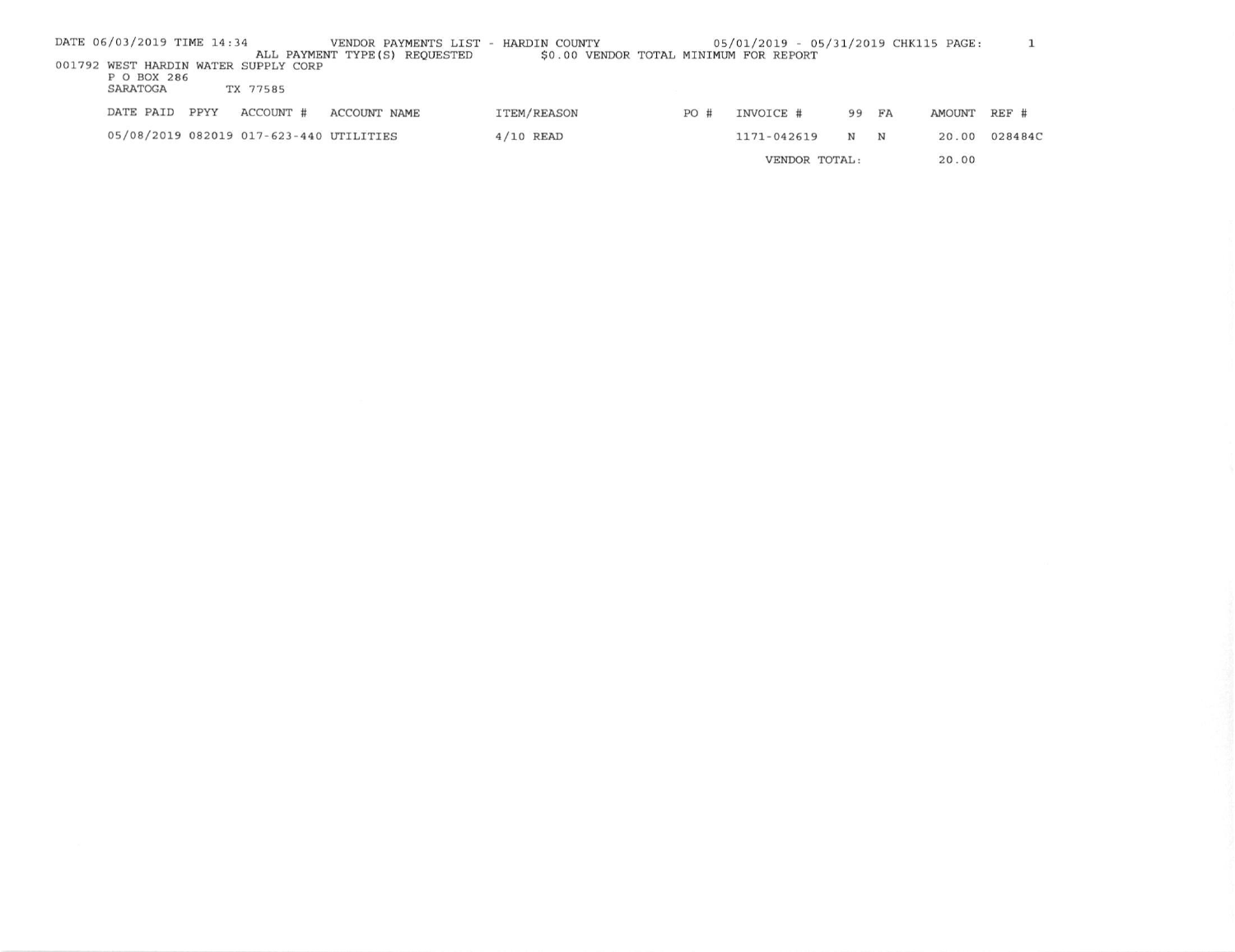|  | DATE 06/03/2019 TIME 14:34 |      |                                         | VENDOR PAYMENTS LIST -<br>ALL PAYMENT TYPE(S) REQUESTED | HARDIN COUNTY<br>\$0.00 VENDOR TOTAL MINIMUM FOR REPORT |               | 05/01/2019 - 05/31/2019 CHK115 PAGE: |             |             |        |         |
|--|----------------------------|------|-----------------------------------------|---------------------------------------------------------|---------------------------------------------------------|---------------|--------------------------------------|-------------|-------------|--------|---------|
|  | P O BOX 286                |      | 001792 WEST HARDIN WATER SUPPLY CORP    |                                                         |                                                         |               |                                      |             |             |        |         |
|  | SARATOGA                   |      | TX 77585                                |                                                         |                                                         |               |                                      |             |             |        |         |
|  | DATE PAID                  | PPYY | ACCOUNT #                               | ACCOUNT NAME                                            | ITEM/REASON                                             | PO#           | INVOICE #                            | 99          | FA          | AMOUNT | REF #   |
|  |                            |      | 05/08/2019 082019 017-623-440 UTILITIES |                                                         | $4/10$ READ                                             |               | 1171-042619                          | $\mathbf N$ | $\mathbf N$ | 20.00  | 028484C |
|  |                            |      |                                         |                                                         |                                                         | VENDOR TOTAL: |                                      |             | 20.00       |        |         |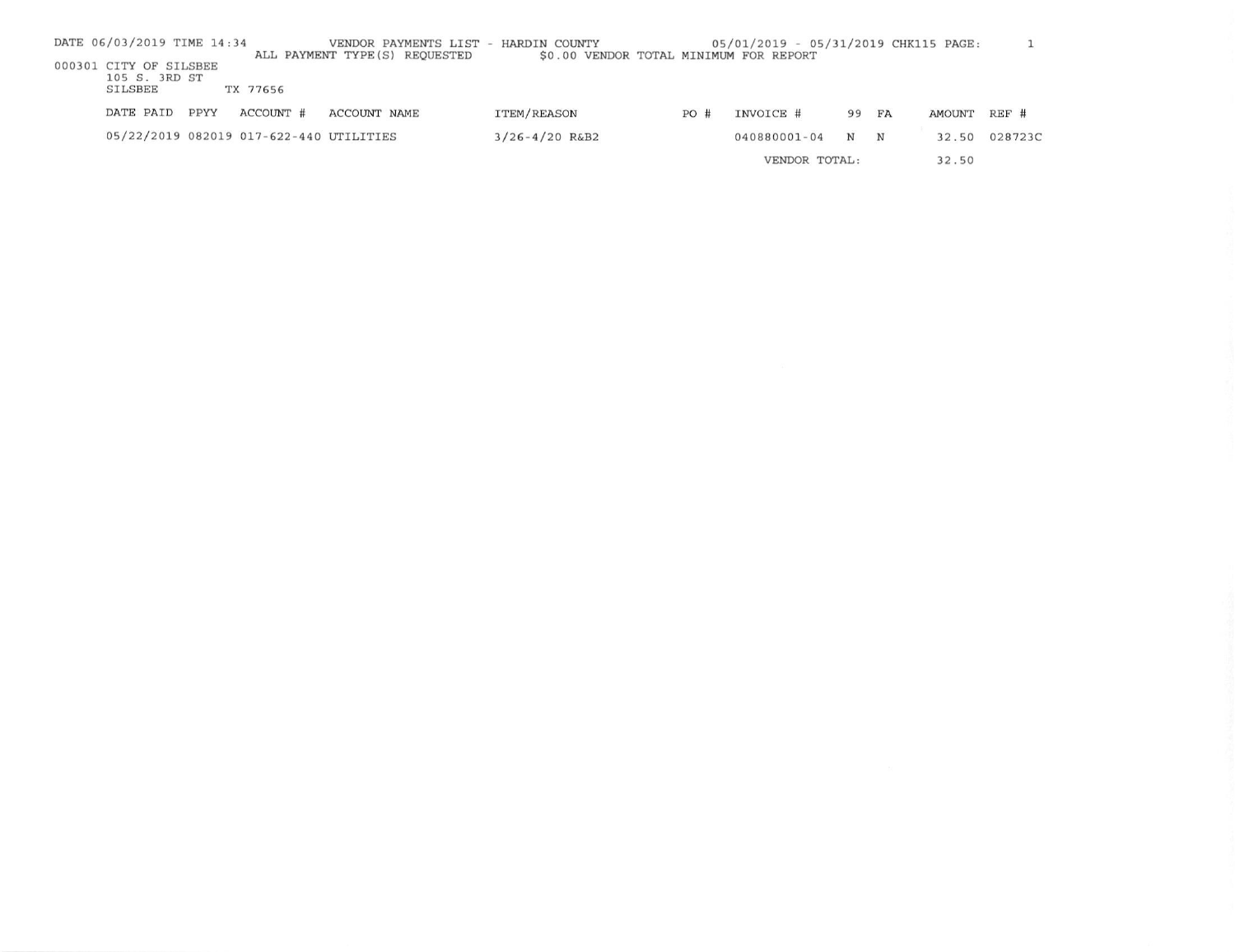| DATE 06/03/2019 TIME 14:34                                |      |                                         | VENDOR PAYMENTS LIST - HARDIN COUNTY |                                        |               | 05/01/2019 - 05/31/2019 CHK115 PAGE: |       |             |        |         |
|-----------------------------------------------------------|------|-----------------------------------------|--------------------------------------|----------------------------------------|---------------|--------------------------------------|-------|-------------|--------|---------|
| 000301 CITY OF SILSBEE<br>105 S. 3RD ST<br><b>SILSBEE</b> |      | TX 77656                                | ALL PAYMENT TYPE(S) REQUESTED        | \$0.00 VENDOR TOTAL MINIMUM FOR REPORT |               |                                      |       |             |        |         |
| DATE PAID                                                 | PPYY | ACCOUNT #                               | ACCOUNT NAME                         | <b>ITEM/REASON</b>                     | PO#           | INVOICE #                            | 99 FA |             | AMOUNT | $REF$ # |
|                                                           |      | 05/22/2019 082019 017-622-440 UTILITIES |                                      | $3/26 - 4/20$ R&B2                     |               | 040880001-04                         | N     | $\mathbf N$ | 32.50  | 028723C |
|                                                           |      |                                         |                                      |                                        | VENDOR TOTAL: |                                      |       |             | 32.50  |         |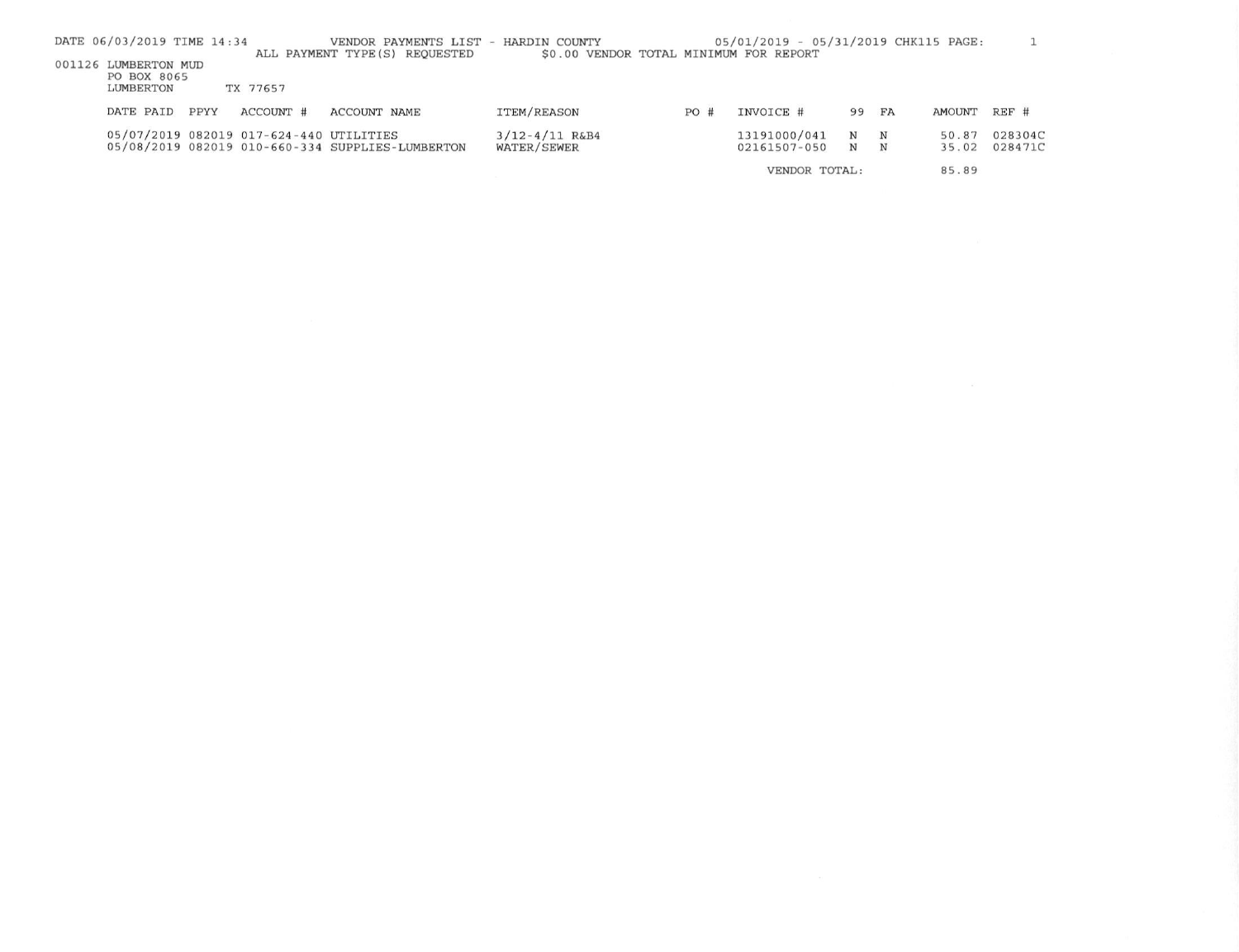|                                                                                                  | DATE 06/03/2019 TIME 14:34 |      |                                         | VENDOR PAYMENTS LIST - HARDIN COUNTY             |                    |               | 05/01/2019 - 05/31/2019 CHK115 PAGE: |     |       |               |         |
|--------------------------------------------------------------------------------------------------|----------------------------|------|-----------------------------------------|--------------------------------------------------|--------------------|---------------|--------------------------------------|-----|-------|---------------|---------|
| \$0.00 VENDOR TOTAL MINIMUM FOR REPORT<br>ALL PAYMENT TYPE (S) REQUESTED<br>001126 LUMBERTON MUD |                            |      |                                         |                                                  |                    |               |                                      |     |       |               |         |
| PO BOX 8065                                                                                      |                            |      |                                         |                                                  |                    |               |                                      |     |       |               |         |
|                                                                                                  | LUMBERTON                  |      | TX 77657                                |                                                  |                    |               |                                      |     |       |               |         |
|                                                                                                  | DATE PAID                  | PPYY | ACCOUNT #                               | ACCOUNT NAME                                     | ITEM/REASON        | PO#           | INVOICE #                            | 99  | FA    | <b>AMOUNT</b> | REF #   |
|                                                                                                  |                            |      | 05/07/2019 082019 017-624-440 UTILITIES |                                                  | $3/12 - 4/11$ R&B4 |               | 13191000/041                         | N N |       | 50.87         | 028304C |
|                                                                                                  |                            |      |                                         | 05/08/2019 082019 010-660-334 SUPPLIES-LUMBERTON | WATER/SEWER        |               | 02161507-050                         | N N |       | 35.02         | 028471C |
|                                                                                                  |                            |      |                                         |                                                  |                    | VENDOR TOTAL: |                                      |     | 85.89 |               |         |